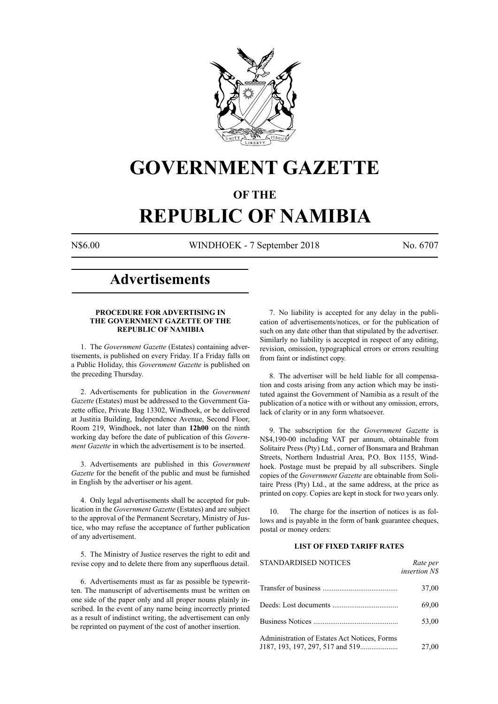

# **GOVERNMENT GAZETTE**

# **OF THE**

# **REPUBLIC OF NAMIBIA**

N\$6.00 WINDHOEK - 7 September 2018 No. 6707

# **Advertisements**

# **PROCEDURE FOR ADVERTISING IN THE GOVERNMENT GAZETTE OF THE REPUBLIC OF NAMIBIA**

1. The *Government Gazette* (Estates) containing advertisements, is published on every Friday. If a Friday falls on a Public Holiday, this *Government Gazette* is published on the preceding Thursday.

2. Advertisements for publication in the *Government Gazette* (Estates) must be addressed to the Government Gazette office, Private Bag 13302, Windhoek, or be delivered at Justitia Building, Independence Avenue, Second Floor, Room 219, Windhoek, not later than **12h00** on the ninth working day before the date of publication of this *Government Gazette* in which the advertisement is to be inserted.

3. Advertisements are published in this *Government Gazette* for the benefit of the public and must be furnished in English by the advertiser or his agent.

4. Only legal advertisements shall be accepted for publication in the *Government Gazette* (Estates) and are subject to the approval of the Permanent Secretary, Ministry of Justice, who may refuse the acceptance of further publication of any advertisement.

5. The Ministry of Justice reserves the right to edit and revise copy and to delete there from any superfluous detail.

6. Advertisements must as far as possible be typewritten. The manuscript of advertisements must be written on one side of the paper only and all proper nouns plainly inscribed. In the event of any name being incorrectly printed as a result of indistinct writing, the advertisement can only be reprinted on payment of the cost of another insertion.

7. No liability is accepted for any delay in the publication of advertisements/notices, or for the publication of such on any date other than that stipulated by the advertiser. Similarly no liability is accepted in respect of any editing, revision, omission, typographical errors or errors resulting from faint or indistinct copy.

8. The advertiser will be held liable for all compensation and costs arising from any action which may be instituted against the Government of Namibia as a result of the publication of a notice with or without any omission, errors, lack of clarity or in any form whatsoever.

9. The subscription for the *Government Gazette* is N\$4,190-00 including VAT per annum, obtainable from Solitaire Press (Pty) Ltd., corner of Bonsmara and Brahman Streets, Northern Industrial Area, P.O. Box 1155, Windhoek. Postage must be prepaid by all subscribers. Single copies of the *Government Gazette* are obtainable from Solitaire Press (Pty) Ltd., at the same address, at the price as printed on copy. Copies are kept in stock for two years only.

10. The charge for the insertion of notices is as follows and is payable in the form of bank guarantee cheques, postal or money orders:

# **LIST OF FIXED TARIFF RATES**

| <b>STANDARDISED NOTICES</b>                  | Rate per<br><i>insertion NS</i> |
|----------------------------------------------|---------------------------------|
|                                              | 37,00                           |
|                                              | 69,00                           |
|                                              | 53,00                           |
| Administration of Estates Act Notices, Forms | 27,00                           |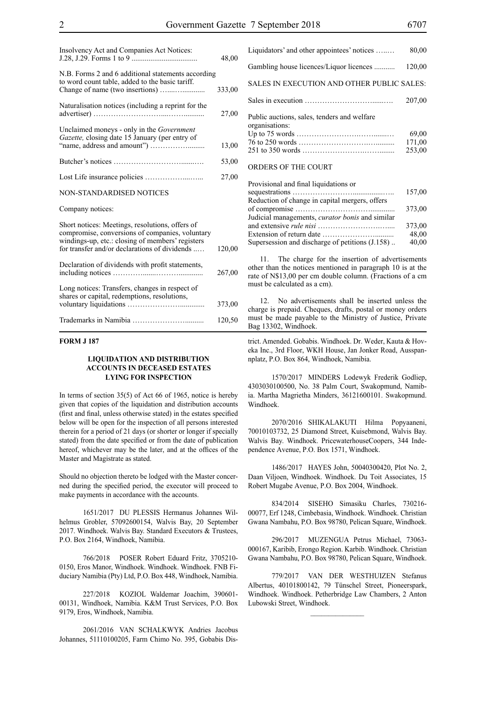| Insolvency Act and Companies Act Notices:                                                                                                                                                               | 48,00  |
|---------------------------------------------------------------------------------------------------------------------------------------------------------------------------------------------------------|--------|
| N.B. Forms 2 and 6 additional statements according<br>to word count table, added to the basic tariff.                                                                                                   | 333,00 |
| Naturalisation notices (including a reprint for the                                                                                                                                                     | 27,00  |
| Unclaimed moneys - only in the Government<br>Gazette, closing date 15 January (per entry of                                                                                                             | 13,00  |
|                                                                                                                                                                                                         | 53,00  |
|                                                                                                                                                                                                         | 27,00  |
| <b>NON-STANDARDISED NOTICES</b>                                                                                                                                                                         |        |
| Company notices:                                                                                                                                                                                        |        |
| Short notices: Meetings, resolutions, offers of<br>compromise, conversions of companies, voluntary<br>windings-up, etc.: closing of members' registers<br>for transfer and/or declarations of dividends | 120,00 |
| Declaration of dividends with profit statements,                                                                                                                                                        | 267,00 |
| Long notices: Transfers, changes in respect of<br>shares or capital, redemptions, resolutions,                                                                                                          | 373,00 |
|                                                                                                                                                                                                         | 120,50 |

# **FORM J 187**

# **LIQUIDATION AND DISTRIBUTION ACCOUNTS IN DECEASED ESTATES LYING FOR INSPECTION**

In terms of section 35(5) of Act 66 of 1965, notice is hereby given that copies of the liquidation and distribution accounts (first and final, unless otherwise stated) in the estates specified below will be open for the inspection of all persons interested therein for a period of 21 days (or shorter or longer if specially stated) from the date specified or from the date of publication hereof, whichever may be the later, and at the offices of the Master and Magistrate as stated.

Should no objection thereto be lodged with the Master concerned during the specified period, the executor will proceed to make payments in accordance with the accounts.

1651/2017 DU PLESSIS Hermanus Johannes Wilhelmus Grobler, 57092600154, Walvis Bay, 20 September 2017. Windhoek. Walvis Bay. Standard Executors & Trustees, P.O. Box 2164, Windhoek, Namibia.

766/2018 POSER Robert Eduard Fritz, 3705210- 0150, Eros Manor, Windhoek. Windhoek. Windhoek. FNB Fiduciary Namibia (Pty) Ltd, P.O. Box 448, Windhoek, Namibia.

227/2018 KOZIOL Waldemar Joachim, 390601- 00131, Windhoek, Namibia. K&M Trust Services, p.o. Box 9179, Eros, Windhoek, Namibia.

2061/2016 VAN SCHALKWYK Andries Jacobus Johannes, 51110100205, Farm Chimo No. 395, Gobabis Dis-

| Liquidators' and other appointees' notices                                                                                       | 80,00                     |
|----------------------------------------------------------------------------------------------------------------------------------|---------------------------|
| Gambling house licences/Liquor licences                                                                                          | 120,00                    |
| SALES IN EXECUTION AND OTHER PUBLIC SALES:                                                                                       |                           |
|                                                                                                                                  | 207,00                    |
| Public auctions, sales, tenders and welfare<br>organisations:                                                                    | 69,00<br>171,00<br>253,00 |
| ORDERS OF THE COURT                                                                                                              |                           |
| Provisional and final liquidations or<br>sequestrations $\ldots, \ldots, \ldots, \ldots, \ldots, \ldots, \ldots, \ldots, \ldots$ | 157.00                    |

|                                                        | 157,00 |
|--------------------------------------------------------|--------|
| Reduction of change in capital mergers, offers         |        |
|                                                        | 373,00 |
| Judicial managements, <i>curator bonis</i> and similar |        |
|                                                        | 373,00 |
|                                                        | 48,00  |
| Supersession and discharge of petitions (J.158)        | 40,00  |

11. The charge for the insertion of advertisements other than the notices mentioned in paragraph 10 is at the rate of N\$13,00 per cm double column. (Fractions of a cm must be calculated as a cm).

12. No advertisements shall be inserted unless the charge is prepaid. Cheques, drafts, postal or money orders must be made payable to the Ministry of Justice, Private Bag 13302, Windhoek.

trict. Amended. Gobabis. Windhoek. Dr. Weder, Kauta & Hoveka Inc., 3rd Floor, WKH House, Jan Jonker Road, Ausspannplatz, P.O. Box 864, Windhoek, Namibia.

1570/2017 MINDERS Lodewyk Frederik Godliep, 4303030100500, No. 38 Palm Court, Swakopmund, Namibia. Martha Magrietha Minders, 36121600101. Swakopmund. Windhoek.

2070/2016 SHIKALAKUTI Hilma Popyaaneni, 70010103732, 25 Diamond Street, Kuisebmond, Walvis Bay. Walvis Bay. Windhoek. PricewaterhouseCoopers, 344 Independence Avenue, P.O. Box 1571, Windhoek.

1486/2017 HAYES John, 50040300420, Plot No. 2, Daan Viljoen, Windhoek. Windhoek. Du Toit Associates, 15 Robert Mugabe Avenue, P.O. Box 2004, Windhoek.

834/2014 SISEHO Simasiku Charles, 730216- 00077, Erf 1248, Cimbebasia, Windhoek. Windhoek. Christian Gwana Nambahu, P.O. Box 98780, Pelican Square, Windhoek.

296/2017 MUZENGUA Petrus Michael, 73063- 000167, Karibib, Erongo Region. Karbib. Windhoek. Christian Gwana Nambahu, P.O. Box 98780, Pelican Square, Windhoek.

779/2017 VAN DER WESTHUIZEN Stefanus Albertus, 40101800142, 79 Tünschel Street, Pioneerspark, Windhoek. Windhoek. Petherbridge Law Chambers, 2 Anton Lubowski Street, Windhoek.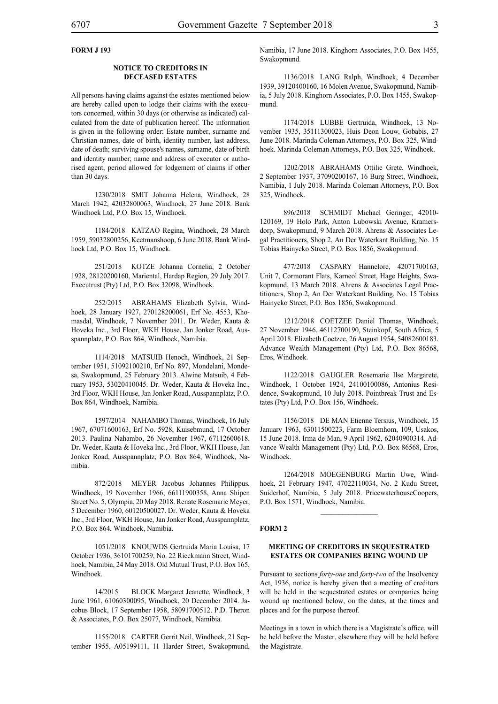# **FORM J 193**

# **NOTICE TO CREDITORS IN DECEASED ESTATES**

All persons having claims against the estates mentioned below are hereby called upon to lodge their claims with the executors concerned, within 30 days (or otherwise as indicated) calculated from the date of publication hereof. The information is given in the following order: Estate number, surname and Christian names, date of birth, identity number, last address, date of death; surviving spouse's names, surname, date of birth and identity number; name and address of executor or authorised agent, period allowed for lodgement of claims if other than 30 days.

1230/2018 SMIT Johanna Helena, Windhoek, 28 March 1942, 42032800063, Windhoek, 27 June 2018. Bank Windhoek Ltd, P.O. Box 15, Windhoek.

1184/2018 KATZAO Regina, Windhoek, 28 March 1959, 59032800256, Keetmanshoop, 6 June 2018. Bank Windhoek Ltd, P.O. Box 15, Windhoek.

251/2018 KOTZE Johanna Cornelia, 2 October 1928, 28120200160, Mariental, Hardap Region, 29 July 2017. Executrust (Pty) Ltd, P.O. Box 32098, Windhoek.

252/2015 ABRAHAMS Elizabeth Sylvia, Windhoek, 28 January 1927, 270128200061, Erf No. 4553, Khomasdal, Windhoek, 7 November 2011. Dr. Weder, Kauta & Hoveka Inc., 3rd Floor, WKH House, Jan Jonker Road, Ausspannplatz, P.O. Box 864, Windhoek, Namibia.

1114/2018 MATSUIB Henoch, Windhoek, 21 September 1951, 51092100210, Erf No. 897, Mondelani, Mondesa, Swakopmund, 25 February 2013. Alwine Matsuib, 4 February 1953, 53020410045. Dr. Weder, Kauta & Hoveka Inc., 3rd Floor, WKH House, Jan Jonker Road, Ausspannplatz, P.O. Box 864, Windhoek, Namibia.

1597/2014 NAHAMBO Thomas, Windhoek, 16 July 1967, 67071600163, Erf No. 5928, Kuisebmund, 17 October 2013. Paulina Nahambo, 26 November 1967, 67112600618. Dr. Weder, Kauta & Hoveka Inc., 3rd Floor, WKH House, Jan Jonker Road, Ausspannplatz, P.O. Box 864, Windhoek, Namibia.

872/2018 MEYER Jacobus Johannes Philippus, Windhoek, 19 November 1966, 66111900358, Anna Shipen Street No. 5, Olympia, 20 May 2018. Renate Rosemarie Meyer, 5 December 1960, 60120500027. Dr. Weder, Kauta & Hoveka Inc., 3rd Floor, WKH House, Jan Jonker Road, Ausspannplatz, P.O. Box 864, Windhoek, Namibia.

1051/2018 KNOUWDS Gertruida Maria Louisa, 17 October 1936, 36101700259, No. 22 Rieckmann Street, Windhoek, Namibia, 24 May 2018. Old Mutual Trust, P.O. Box 165, Windhoek.

14/2015 BLOCK Margaret Jeanette, Windhoek, 3 June 1961, 61060300095, Windhoek, 20 December 2014. Jacobus Block, 17 September 1958, 58091700512. P.D. Theron & Associates, P.O. Box 25077, Windhoek, Namibia.

1155/2018 CARTER Gerrit Neil, Windhoek, 21 September 1955, A05199111, 11 Harder Street, Swakopmund, Namibia, 17 June 2018. Kinghorn Associates, P.O. Box 1455, Swakopmund.

1136/2018 LANG Ralph, Windhoek, 4 December 1939, 39120400160, 16 Molen Avenue, Swakopmund, Namibia, 5 July 2018. Kinghorn Associates, P.O. Box 1455, Swakopmund.

1174/2018 LUBBE Gertruida, Windhoek, 13 November 1935, 35111300023, Huis Deon Louw, Gobabis, 27 June 2018. Marinda Coleman Attorneys, P.O. Box 325, Windhoek. Marinda Coleman Attorneys, P.O. Box 325, Windhoek.

1202/2018 ABRAHAMS Ottilie Grete, Windhoek, 2 September 1937, 37090200167, 16 Burg Street, Windhoek, Namibia, 1 July 2018. Marinda Coleman Attorneys, P.O. Box 325, Windhoek.

896/2018 SCHMIDT Michael Geringer, 42010- 120169, 19 Holo Park, Anton Lubowski Avenue, Kramersdorp, Swakopmund, 9 March 2018. Ahrens & Associates Legal Practitioners, Shop 2, An Der Waterkant Building, No. 15 Tobias Hainyeko Street, P.O. Box 1856, Swakopmund.

477/2018 CASPARY Hannelore, 42071700163, Unit 7, Cormorant Flats, Karneol Street, Hage Heights, Swakopmund, 13 March 2018. Ahrens & Associates Legal Practitioners, Shop 2, An Der Waterkant Building, No. 15 Tobias Hainyeko Street, P.O. Box 1856, Swakopmund.

1212/2018 COETZEE Daniel Thomas, Windhoek, 27 November 1946, 46112700190, Steinkopf, South Africa, 5 April 2018. Elizabeth Coetzee, 26 August 1954, 54082600183. Advance Wealth Management (Pty) Ltd, P.O. Box 86568, Eros, Windhoek.

1122/2018 GAUGLER Rosemarie Ilse Margarete, Windhoek, 1 October 1924, 24100100086, Antonius Residence, Swakopmund, 10 July 2018. Pointbreak Trust and Estates (Pty) Ltd, P.O. Box 156, Windhoek.

1156/2018 DE MAN Etienne Tersius, Windhoek, 15 January 1963, 63011500223, Farm Bloemhom, 109, Usakos, 15 June 2018. Irma de Man, 9 April 1962, 62040900314. Advance Wealth Management (Pty) Ltd, P.O. Box 86568, Eros, Windhoek.

1264/2018 MOEGENBURG Martin Uwe, Windhoek, 21 February 1947, 47022110034, No. 2 Kudu Street, Suiderhof, Namibia, 5 July 2018. PricewaterhouseCoopers, P.O. Box 1571, Windhoek, Namibia.

# **FORM 2**

# **MEETING OF CREDITORS IN SEQUESTRATED ESTATES OR COMPANIES BEING WOUND UP**

Pursuant to sections *forty-one* and *forty-two* of the Insolvency Act, 1936, notice is hereby given that a meeting of creditors will be held in the sequestrated estates or companies being wound up mentioned below, on the dates, at the times and places and for the purpose thereof.

Meetings in a town in which there is a Magistrate's office, will be held before the Master, elsewhere they will be held before the Magistrate.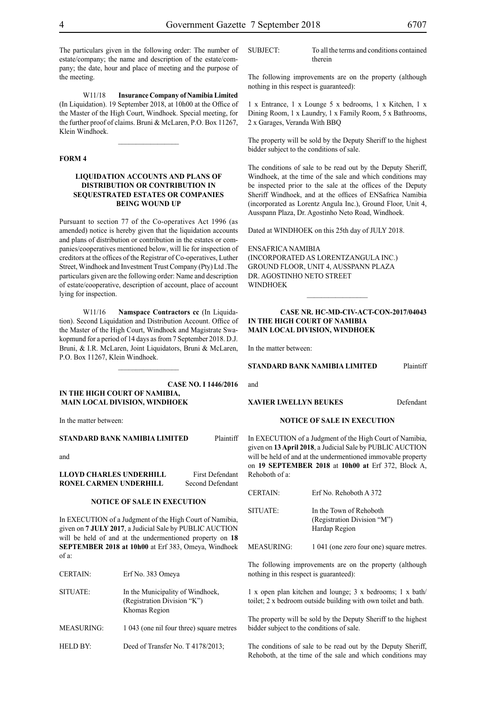The particulars given in the following order: The number of estate/company; the name and description of the estate/company; the date, hour and place of meeting and the purpose of the meeting.

W11/18 **Insurance Company of Namibia Limited** (In Liquidation). 19 September 2018, at 10h00 at the Office of the Master of the High Court, Windhoek. Special meeting, for the further proof of claims. Bruni & McLaren, P.O. Box 11267, Klein Windhoek.

 $\frac{1}{2}$ 

# **FORM 4**

# **LIQUIDATION ACCOUNTS AND PLANS OF DISTRIBUTION OR CONTRIBUTION IN SEQUESTRATED ESTATES OR COMPANIES BEING WOUND UP**

Pursuant to section 77 of the Co-operatives Act 1996 (as amended) notice is hereby given that the liquidation accounts and plans of distribution or contribution in the estates or companies/cooperatives mentioned below, will lie for inspection of creditors at the offices of the Registrar of Co-operatives, Luther Street, Windhoek and Investment Trust Company (Pty) Ltd .The particulars given are the following order: Name and description of estate/cooperative, description of account, place of account lying for inspection.

W11/16 **Namspace Contractors cc** (In Liquidation). Second Liquidation and Distribution Account. Office of the Master of the High Court, Windhoek and Magistrate Swakopmund for a period of 14 days as from 7 September 2018. D.J. Bruni, & I.R. McLaren, Joint Liquidators, Bruni & McLaren, P.O. Box 11267, Klein Windhoek.

# **Case NO. I 1446/2016 IN THE HIGH COURT OF NAMIBIA, MAIN LOCAL DIVISION, WINDHOEK**

 $\frac{1}{2}$ 

In the matter between:

**STANDARD BANK NAMIBIA LIMITED** Plaintiff

and

| LLOYD CHARLES UNDERHILL | First Defendant  |
|-------------------------|------------------|
| RONEL CARMEN UNDERHILL  | Second Defendant |

# **NOTICE OF SALE IN EXECUTION**

In EXECUTION of a Judgment of the High Court of Namibia, given on **7 JULY 2017**, a Judicial Sale by PUBLIC AUCTION will be held of and at the undermentioned property on **18 SEPTEMBER 2018 at 10h00** at Erf 383, Omeya, Windhoek of a:

| <b>CERTAIN:</b>   | Erf No. 383 Omeya                                                                | r |
|-------------------|----------------------------------------------------------------------------------|---|
| SITUATE:          | In the Municipality of Windhoek,<br>(Registration Division "K")<br>Khomas Region | t |
| <b>MEASURING:</b> | 1 043 (one nil four three) square metres                                         | ŀ |
| HELD BY:          | Deed of Transfer No. T 4178/2013;                                                |   |

The following improvements are on the property (although nothing in this respect is guaranteed):

1 x Entrance, 1 x Lounge 5 x bedrooms, 1 x Kitchen, 1 x Dining Room, 1 x Laundry, 1 x Family Room, 5 x Bathrooms, 2 x Garages, Veranda With BBQ

The property will be sold by the Deputy Sheriff to the highest bidder subject to the conditions of sale.

The conditions of sale to be read out by the Deputy Sheriff, Windhoek, at the time of the sale and which conditions may be inspected prior to the sale at the offices of the Deputy Sheriff Windhoek, and at the offices of ENSafrica Namibia (incorporated as Lorentz Angula Inc.), Ground Floor, Unit 4, Ausspann Plaza, Dr. Agostinho Neto Road, Windhoek.

Dated at WINDHOEK on this 25th day of JULY 2018.

ENSafrica Namibia (incorporated as LorentzAngula Inc.) Ground Floor, Unit 4, Ausspann Plaza DR. AGOSTINHO NETO STREET WINDHOEK

# **Case Nr. HC-MD-CIV-ACT-CON-2017/04043 IN THE HIGH COURT OF NAMIBIA MAIN LOCAL DIVISION, WINDHOEK**

 $\frac{1}{2}$ 

In the matter between:

**STANDARD BANK NAMIBIA LIMITED** Plaintiff

**XAVIER LWELLYN BEUKES** Defendant

# **NOTICE OF SALE IN EXECUTION**

In EXECUTION of a Judgment of the High Court of Namibia, given on **13 April 2018**, a Judicial Sale by PUBLIC AUCTION will be held of and at the undermentioned immovable property on **19 SEPTEMBER 2018** at **10h00 at** Erf 372, Block A, Rehoboth of a:

| <b>CERTAIN:</b> | Erf No. Rehoboth A 372                                                  |
|-----------------|-------------------------------------------------------------------------|
| SITUATE:        | In the Town of Rehoboth<br>(Registration Division "M")<br>Hardap Region |

MEASURING: 1 041 (one zero four one) square metres.

The following improvements are on the property (although nothing in this respect is guaranteed):

 $x$  open plan kitchen and lounge; 3 x bedrooms; 1 x bath/ toilet; 2 x bedroom outside building with own toilet and bath.

The property will be sold by the Deputy Sheriff to the highest bidder subject to the conditions of sale.

The conditions of sale to be read out by the Deputy Sheriff, Rehoboth, at the time of the sale and which conditions may

and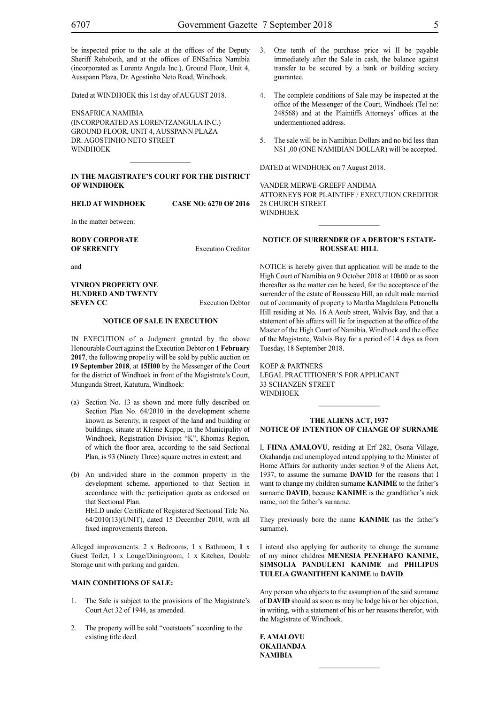be inspected prior to the sale at the offices of the Deputy Sheriff Rehoboth, and at the offices of ENSafrica Namibia (incorporated as Lorentz Angula Inc.), Ground Floor, Unit 4, Ausspann Plaza, Dr. Agostinho Neto Road, Windhoek.

Dated at WINDHOEK this 1st day of AUGUST 2018.

ENSafrica Namibia (incorporated as LorentzAngula Inc.) Ground Floor, Unit 4, Ausspann Plaza Dr. Agostinho Neto Street **WINDHOFK** 

### **IN THE MAGISTRATE'S COURT FOR THE DISTRICT OF WINDHOEK**

 $\frac{1}{2}$ 

**HELD AT WINDHOEK CASE NO: 6270 OF 2016**

In the matter between:

**BODY CORPORATE OF SERENITY** Execution Creditor

and

# **VINRON PROPERTY ONE HUNDRED AND TWENTY SEVEN CC** Execution Debtor

# **NOTICE OF SALE IN EXECUTION**

IN EXECUTION of a Judgment granted by the above Honourable Court against the Execution Debtor on **1 February 2017**, the following prope1iy will be sold by public auction on **19 September 2018**, at **15H00** by the Messenger of the Court for the district of Windhoek in front of the Magistrate's Court, Mungunda Street, Katutura, Windhoek:

- (a) Section No. 13 as shown and more fully described on Section Plan No. 64/2010 in the development scheme known as Serenity, in respect of the land and building or buildings, situate at Kleine Kuppe, in the Municipality of Windhoek, Registration Division "K", Khomas Region, of which the floor area, according to the said Sectional Plan, is 93 (Ninety Three) square metres in extent; and
- (b) An undivided share in the common property in the development scheme, apportioned to that Section in accordance with the participation quota as endorsed on that Sectional Plan. HELD under Certificate of Registered Sectional Title No. 64/2010(13)(UNIT), dated 15 December 2010, with all fixed improvements thereon.

Alleged improvements: 2 x Bedrooms, 1 x Bathroom, **1** x Guest Toilet, 1 x Louge/Diningroom, 1 x Kitchen, Double Storage unit with parking and garden.

# **MAIN CONDITIONS OF SALE:**

- 1. The Sale is subject to the provisions of the Magistrate's Court Act 32 of 1944, as amended.
- 2. The property will be sold "voetstoots" according to the existing title deed.
- 3. One tenth of the purchase price wi II be payable immediately after the Sale in cash, the balance against transfer to be secured by a bank or building society guarantee.
- 4. The complete conditions of Sale may be inspected at the office of the Messenger of the Court, Windhoek (Tel no: 248568) and at the Plaintiffs Attorneys' offices at the undermentioned address.
- 5. The sale will be in Namibian Dollars and no bid less than N\$1 ,00 (ONE NAMIBIAN DOLLAR) will be accepted.

DATED at WINDHOEK on 7 August 2018.

VANDER MERWE-GREEFF ANDIMA ATTORNEYS FOR PLAINTIFF / EXECUTION CREDITOR 28 CHURCH STREET **WINDHOEK** 

# **NOTICE OF SURRENDER OF A DEBTOR'S ESTATE-ROUSSEAU HILL**

NOTICE is hereby given that application will be made to the High Court of Namibia on 9 October 2018 at 10h00 or as soon thereafter as the matter can be heard, for the acceptance of the surrender of the estate of Rousseau Hill, an adult male married out of community of property to Martha Magdalena Petronella Hill residing at No. 16 A Aoub street, Walvis Bay, and that a statement of his affairs will lie for inspection at the office of the Master of the High Court of Namibia, Windhoek and the office of the Magistrate, Walvis Bay for a period of 14 days as from Tuesday, 18 September 2018.

KOEP & PARTNERS Legal Practitioner's for Applicant 33 Schanzen Street **WINDHOFK** 

# **THE ALIENS ACT, 1937 NOTICE OF INTENTION OF CHANGE OF SURNAME**

 $\frac{1}{2}$ 

I, **fiina amalovu**, residing at Erf 282, Osona Village, Okahandja and unemployed intend applying to the Minister of Home Affairs for authority under section 9 of the Aliens Act, 1937, to assume the surname **DAVID** for the reasons that I want to change my children surname **KANIME** to the father's surname **DAVID**, because **KANIME** is the grandfather's nick name, not the father's surname.

They previously bore the name **KANIME** (as the father's surname).

I intend also applying for authority to change the surname of my minor children **MENESIA PENEHAFO KANIME, SIMSOLIA PANDULENI KANIME** and **PHILIPUS TULELA GWANITHENI KANIME** to **DAVID**.

Any person who objects to the assumption of the said surname of **DAVID** should as soon as may be lodge his or her objection, in writing, with a statement of his or her reasons therefor, with the Magistrate of Windhoek.

**f. amalovu okahandja NAMIBIA**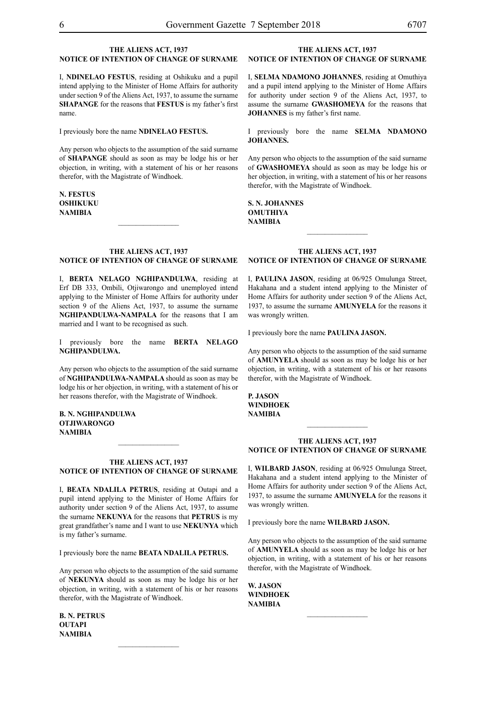# **THE ALIENS ACT, 1937 NOTICE OF INTENTION OF CHANGE OF SURNAME**

I, **NDINELAO FESTUS**, residing at Oshikuku and a pupil intend applying to the Minister of Home Affairs for authority under section 9 of the Aliens Act, 1937, to assume the surname **shapange** for the reasons that **festus** is my father's first name.

I previously bore the name **NDINELAO FESTUS.** 

Any person who objects to the assumption of the said surname of **shapange** should as soon as may be lodge his or her objection, in writing, with a statement of his or her reasons therefor, with the Magistrate of Windhoek.

**n. festus OSHIKUKU NAMIBIA**

# **THE ALIENS ACT, 1937 NOTICE OF INTENTION OF CHANGE OF SURNAME**

 $\frac{1}{2}$ 

I, **berta nelago nghipandulwa**, residing at Erf DB 333, Ombili, Otjiwarongo and unemployed intend applying to the Minister of Home Affairs for authority under section 9 of the Aliens Act, 1937, to assume the surname **nghipandulwa-nampala** for the reasons that I am married and I want to be recognised as such.

I previously bore the name **BERTA NELAGO nghipandulwa.**

Any person who objects to the assumption of the said surname of **nghipandulwa-nampala** should as soon as may be lodge his or her objection, in writing, with a statement of his or her reasons therefor, with the Magistrate of Windhoek.

**b. n. nghipandulwa otjiwarongo NAMIBIA**

# **THE ALIENS ACT, 1937 NOTICE OF INTENTION OF CHANGE OF SURNAME**

 $\frac{1}{2}$ 

I, **BEATA NDALILA PETRUS**, residing at Outapi and a pupil intend applying to the Minister of Home Affairs for authority under section 9 of the Aliens Act, 1937, to assume the surname **nekunya** for the reasons that **PETRUS** is my great grandfather's name and I want to use **NEKUNYA** which is my father's surname.

I previously bore the name **BEATA NDALILA PETRUS.** 

Any person who objects to the assumption of the said surname of **nekunya** should as soon as may be lodge his or her objection, in writing, with a statement of his or her reasons therefor, with the Magistrate of Windhoek.

**b. n. petrus outapi NAMIBIA**

# **THE ALIENS ACT, 1937 NOTICE OF INTENTION OF CHANGE OF SURNAME**

I, **SELMA NDAMONO JOHANNES**, residing at Omuthiya and a pupil intend applying to the Minister of Home Affairs for authority under section 9 of the Aliens Act, 1937, to assume the surname **gwashomeya** for the reasons that **JOHANNES** is my father's first name.

I previously bore the name **SELMA NDAMONO johannes.**

Any person who objects to the assumption of the said surname of **gwashomeya** should as soon as may be lodge his or her objection, in writing, with a statement of his or her reasons therefor, with the Magistrate of Windhoek.

**s. n. johannes omuthiya NAMIBIA**

# **THE ALIENS ACT, 1937 NOTICE OF INTENTION OF CHANGE OF SURNAME**

 $\frac{1}{2}$ 

I, **paulina jason**, residing at 06/925 Omulunga Street, Hakahana and a student intend applying to the Minister of Home Affairs for authority under section 9 of the Aliens Act, 1937, to assume the surname **amunyela** for the reasons it was wrongly written.

I previously bore the name **paulina jason.**

Any person who objects to the assumption of the said surname of **amunyela** should as soon as may be lodge his or her objection, in writing, with a statement of his or her reasons therefor, with the Magistrate of Windhoek.

**p. jason windhoek NAMIBIA**

# **THE ALIENS ACT, 1937 NOTICE OF INTENTION OF CHANGE OF SURNAME**

 $\frac{1}{2}$ 

I, **WILBARD jason**, residing at 06/925 Omulunga Street, Hakahana and a student intend applying to the Minister of Home Affairs for authority under section 9 of the Aliens Act, 1937, to assume the surname **amunyela** for the reasons it was wrongly written.

I previously bore the name **WILBARD jason.**

Any person who objects to the assumption of the said surname of **amunyela** should as soon as may be lodge his or her objection, in writing, with a statement of his or her reasons therefor, with the Magistrate of Windhoek.

**W. jason windhoek NAMIBIA**